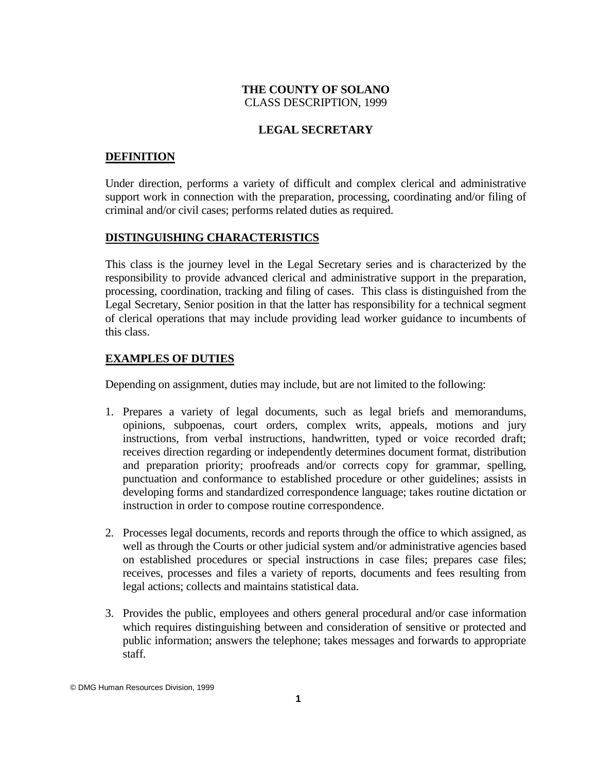# **THE COUNTY OF SOLANO** CLASS DESCRIPTION, 1999

# **LEGAL SECRETARY**

### **DEFINITION**

Under direction, performs a variety of difficult and complex clerical and administrative support work in connection with the preparation, processing, coordinating and/or filing of criminal and/or civil cases; performs related duties as required.

### **DISTINGUISHING CHARACTERISTICS**

This class is the journey level in the Legal Secretary series and is characterized by the responsibility to provide advanced clerical and administrative support in the preparation, processing, coordination, tracking and filing of cases. This class is distinguished from the Legal Secretary, Senior position in that the latter has responsibility for a technical segment of clerical operations that may include providing lead worker guidance to incumbents of this class.

# **EXAMPLES OF DUTIES**

Depending on assignment, duties may include, but are not limited to the following:

- 1. Prepares a variety of legal documents, such as legal briefs and memorandums, opinions, subpoenas, court orders, complex writs, appeals, motions and jury instructions, from verbal instructions, handwritten, typed or voice recorded draft; receives direction regarding or independently determines document format, distribution and preparation priority; proofreads and/or corrects copy for grammar, spelling, punctuation and conformance to established procedure or other guidelines; assists in developing forms and standardized correspondence language; takes routine dictation or instruction in order to compose routine correspondence.
- 2. Processes legal documents, records and reports through the office to which assigned, as well as through the Courts or other judicial system and/or administrative agencies based on established procedures or special instructions in case files; prepares case files; receives, processes and files a variety of reports, documents and fees resulting from legal actions; collects and maintains statistical data.
- 3. Provides the public, employees and others general procedural and/or case information which requires distinguishing between and consideration of sensitive or protected and public information; answers the telephone; takes messages and forwards to appropriate staff.

<sup>©</sup> DMG Human Resources Division, 1999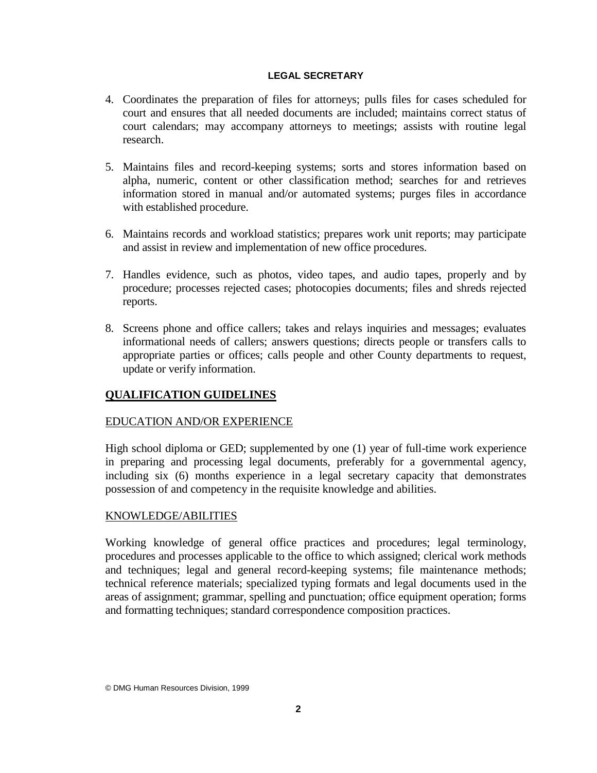### **LEGAL SECRETARY**

- 4. Coordinates the preparation of files for attorneys; pulls files for cases scheduled for court and ensures that all needed documents are included; maintains correct status of court calendars; may accompany attorneys to meetings; assists with routine legal research.
- 5. Maintains files and record-keeping systems; sorts and stores information based on alpha, numeric, content or other classification method; searches for and retrieves information stored in manual and/or automated systems; purges files in accordance with established procedure.
- 6. Maintains records and workload statistics; prepares work unit reports; may participate and assist in review and implementation of new office procedures.
- 7. Handles evidence, such as photos, video tapes, and audio tapes, properly and by procedure; processes rejected cases; photocopies documents; files and shreds rejected reports.
- 8. Screens phone and office callers; takes and relays inquiries and messages; evaluates informational needs of callers; answers questions; directs people or transfers calls to appropriate parties or offices; calls people and other County departments to request, update or verify information.

# **QUALIFICATION GUIDELINES**

# EDUCATION AND/OR EXPERIENCE

High school diploma or GED; supplemented by one (1) year of full-time work experience in preparing and processing legal documents, preferably for a governmental agency, including six (6) months experience in a legal secretary capacity that demonstrates possession of and competency in the requisite knowledge and abilities.

# KNOWLEDGE/ABILITIES

Working knowledge of general office practices and procedures; legal terminology, procedures and processes applicable to the office to which assigned; clerical work methods and techniques; legal and general record-keeping systems; file maintenance methods; technical reference materials; specialized typing formats and legal documents used in the areas of assignment; grammar, spelling and punctuation; office equipment operation; forms and formatting techniques; standard correspondence composition practices.

© DMG Human Resources Division, 1999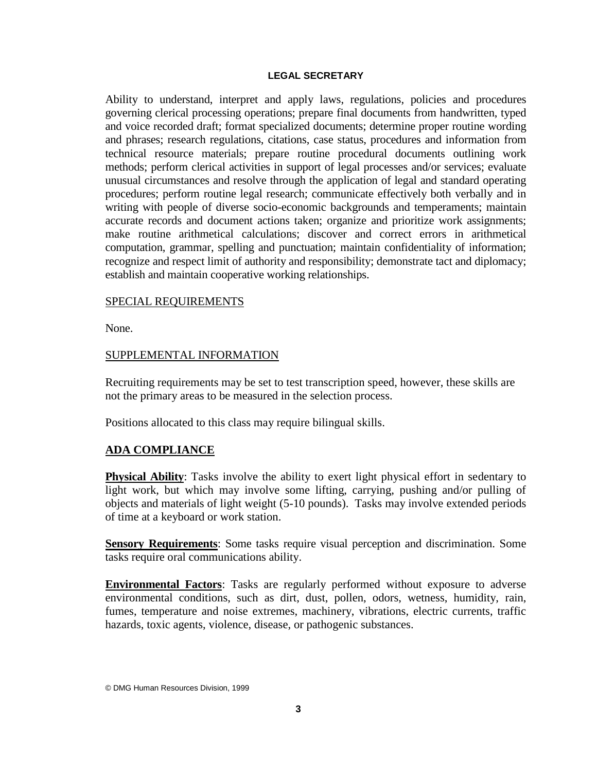#### **LEGAL SECRETARY**

Ability to understand, interpret and apply laws, regulations, policies and procedures governing clerical processing operations; prepare final documents from handwritten, typed and voice recorded draft; format specialized documents; determine proper routine wording and phrases; research regulations, citations, case status, procedures and information from technical resource materials; prepare routine procedural documents outlining work methods; perform clerical activities in support of legal processes and/or services; evaluate unusual circumstances and resolve through the application of legal and standard operating procedures; perform routine legal research; communicate effectively both verbally and in writing with people of diverse socio-economic backgrounds and temperaments; maintain accurate records and document actions taken; organize and prioritize work assignments; make routine arithmetical calculations; discover and correct errors in arithmetical computation, grammar, spelling and punctuation; maintain confidentiality of information; recognize and respect limit of authority and responsibility; demonstrate tact and diplomacy; establish and maintain cooperative working relationships.

### SPECIAL REQUIREMENTS

None.

### SUPPLEMENTAL INFORMATION

Recruiting requirements may be set to test transcription speed, however, these skills are not the primary areas to be measured in the selection process.

Positions allocated to this class may require bilingual skills.

# **ADA COMPLIANCE**

**Physical Ability**: Tasks involve the ability to exert light physical effort in sedentary to light work, but which may involve some lifting, carrying, pushing and/or pulling of objects and materials of light weight (5-10 pounds). Tasks may involve extended periods of time at a keyboard or work station.

**Sensory Requirements**: Some tasks require visual perception and discrimination. Some tasks require oral communications ability.

**Environmental Factors**: Tasks are regularly performed without exposure to adverse environmental conditions, such as dirt, dust, pollen, odors, wetness, humidity, rain, fumes, temperature and noise extremes, machinery, vibrations, electric currents, traffic hazards, toxic agents, violence, disease, or pathogenic substances.

© DMG Human Resources Division, 1999